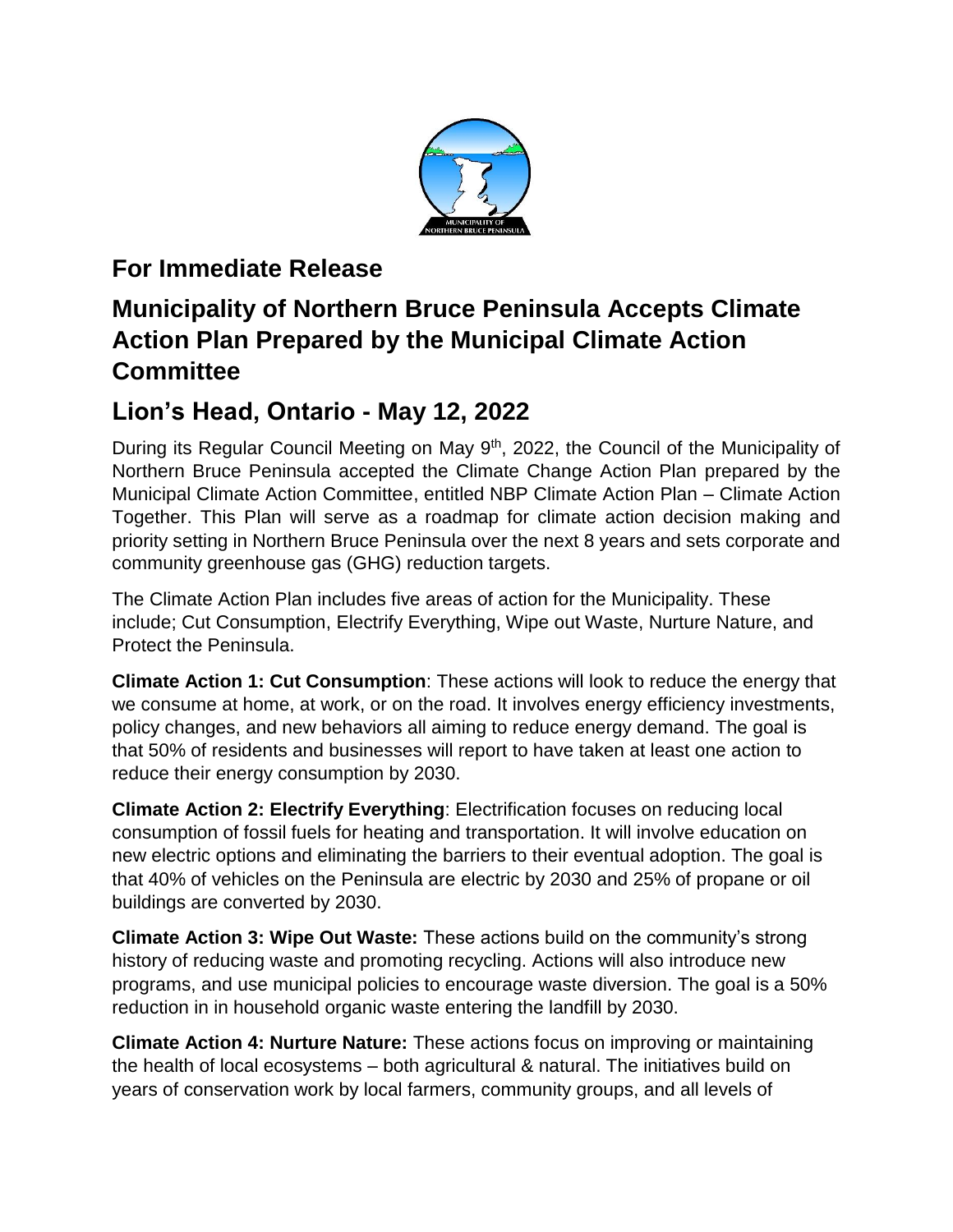

## **For Immediate Release**

## **Municipality of Northern Bruce Peninsula Accepts Climate Action Plan Prepared by the Municipal Climate Action Committee**

## **Lion's Head, Ontario - May 12, 2022**

During its Regular Council Meeting on May 9<sup>th</sup>, 2022, the Council of the Municipality of Northern Bruce Peninsula accepted the Climate Change Action Plan prepared by the Municipal Climate Action Committee, entitled NBP Climate Action Plan – Climate Action Together. This Plan will serve as a roadmap for climate action decision making and priority setting in Northern Bruce Peninsula over the next 8 years and sets corporate and community greenhouse gas (GHG) reduction targets.

The Climate Action Plan includes five areas of action for the Municipality. These include; Cut Consumption, Electrify Everything, Wipe out Waste, Nurture Nature, and Protect the Peninsula.

**Climate Action 1: Cut Consumption**: These actions will look to reduce the energy that we consume at home, at work, or on the road. It involves energy efficiency investments, policy changes, and new behaviors all aiming to reduce energy demand. The goal is that 50% of residents and businesses will report to have taken at least one action to reduce their energy consumption by 2030.

**Climate Action 2: Electrify Everything**: Electrification focuses on reducing local consumption of fossil fuels for heating and transportation. It will involve education on new electric options and eliminating the barriers to their eventual adoption. The goal is that 40% of vehicles on the Peninsula are electric by 2030 and 25% of propane or oil buildings are converted by 2030.

**Climate Action 3: Wipe Out Waste:** These actions build on the community's strong history of reducing waste and promoting recycling. Actions will also introduce new programs, and use municipal policies to encourage waste diversion. The goal is a 50% reduction in in household organic waste entering the landfill by 2030.

**Climate Action 4: Nurture Nature:** These actions focus on improving or maintaining the health of local ecosystems – both agricultural & natural. The initiatives build on years of conservation work by local farmers, community groups, and all levels of